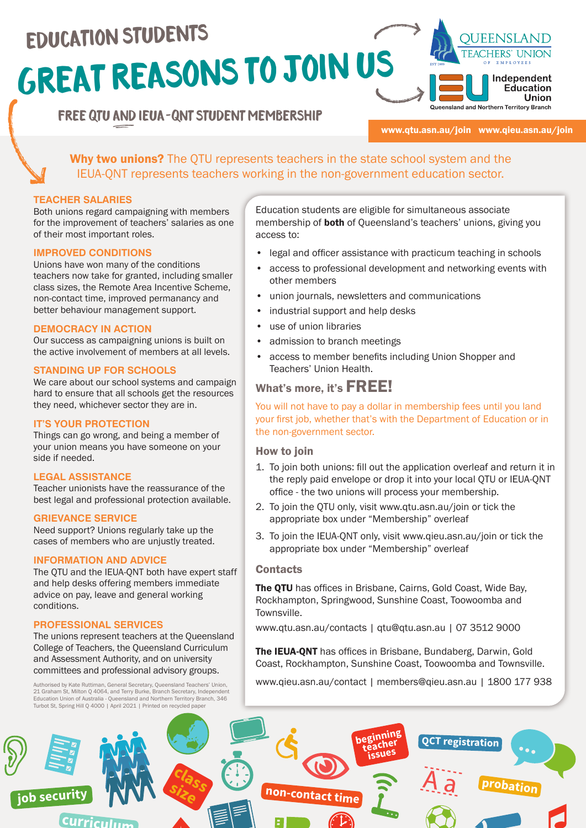# GREAT REASONS TO JOIN US Education students



# FREE QTU and IEUA-QNT STUDENT membership

#### www.qtu.asn.au/join www.qieu.asn.au/join

Why two unions? The OTU represents teachers in the state school system and the IEUA-QNT represents teachers working in the non-government education sector.

#### **TEACHER SALARIES**

Both unions regard campaigning with members for the improvement of teachers' salaries as one of their most important roles.

#### **IMPROVED CONDITIONS**

Unions have won many of the conditions teachers now take for granted, including smaller class sizes, the Remote Area Incentive Scheme, non-contact time, improved permanancy and better behaviour management support.

#### **DEMOCRACY IN ACTION**

Our success as campaigning unions is built on the active involvement of members at all levels.

#### **STANDING UP FOR SCHOOLS**

We care about our school systems and campaign hard to ensure that all schools get the resources they need, whichever sector they are in.

#### **IT'S YOUR PROTECTION**

Things can go wrong, and being a member of your union means you have someone on your side if needed.

#### **LEGAL ASSISTANCE**

Teacher unionists have the reassurance of the best legal and professional protection available.

#### **GRIEVANCE SERVICE**

Need support? Unions regularly take up the cases of members who are unjustly treated.

#### **INFORMATION AND ADVICE**

The QTU and the IEUA-QNT both have expert staff and help desks offering members immediate advice on pay, leave and general working conditions.

#### **PROFESSIONAL SERVICES**

The unions represent teachers at the Queensland College of Teachers, the Queensland Curriculum and Assessment Authority, and on university committees and professional advisory groups.

Authorised by Kate Ruttiman, General Secretary, Queensland Teachers' Union, 21 Graham St, Milton Q 4064, and Terry Burke, Branch Secretary, Independent<br>Education Union of Australia - Queensland and Northern Territory Branch, 346<br>Turbot St, Spring Hill Q 4000 | April 2021 | Printed on recycled pape Education students are eligible for simultaneous associate membership of **both** of Queensland's teachers' unions, giving you access to:

- legal and officer assistance with practicum teaching in schools
- access to professional development and networking events with other members
- union journals, newsletters and communications
- industrial support and help desks
- use of union libraries
- admission to branch meetings
- access to member benefits including Union Shopper and Teachers' Union Health.

# What's more, it's FREE!

You will not have to pay a dollar in membership fees until you land your first job, whether that's with the Department of Education or in the non-government sector.

#### How to join

- 1. To join both unions: fill out the application overleaf and return it in the reply paid envelope or drop it into your local QTU or IEUA-QNT office - the two unions will process your membership.
- 2. To join the QTU only, visit www.qtu.asn.au/join or tick the appropriate box under "Membership" overleaf
- 3. To join the IEUA-QNT only, visit www.qieu.asn.au/join or tick the appropriate box under "Membership" overleaf

#### **Contacts**

The OTU has offices in Brisbane, Cairns, Gold Coast, Wide Bay, Rockhampton, Springwood, Sunshine Coast, Toowoomba and Townsville.

www.qtu.asn.au/contacts | qtu@qtu.asn.au | 07 3512 9000

The IEUA-QNT has offices in Brisbane, Bundaberg, Darwin, Gold Coast, Rockhampton, Sunshine Coast, Toowoomba and Townsville.

www.qieu.asn.au/contact | members@qieu.asn.au | 1800 177 938